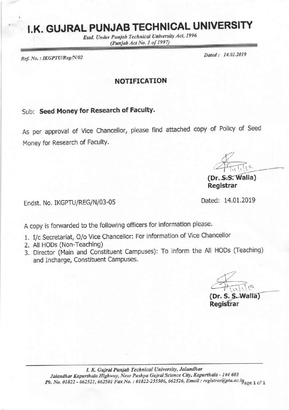# I.K. GUJRAL PUNJAB TECHNICAL UNIVERSITY

Estd. Under Punjab Technical University Act, 1996 (Punjab Act No. 1 of 1997)

Ref. No.: IKGPTU/Reg/N/02

Dated: 14.01.2019

NOTIFICATION

## Sub: Seed Money for Research of Faculty.

As per approval of Vice Chancellor, please find attached copy of Policy of Seed Money for Research of FacultY.

Ende

Registrar

Endst. No. IKGPTU/REG/N/03-05 Dated: 14,01.2019

A copy is forwarded to the following officers for information please.

- 1. I/c Secretariat, O/o Vice Chancellor: For information of Vice Chancellor
- 2. All HODs (Non-Teaching)
- 3. Director (Main and Constituent Campuses): To inform the All HODs (Teaching) and Incharge, Constituent Campuses.

(Dr. S. S. Walla) Registrar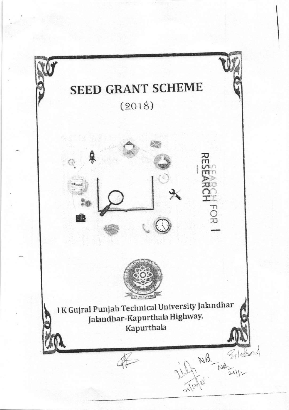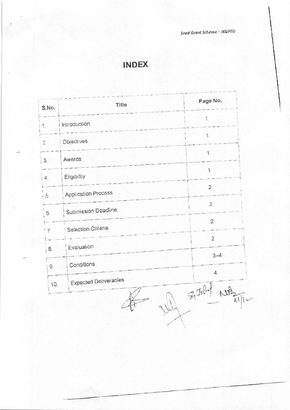Seed Grant Scheme - IKGPTU

# **INDEX**

| $\ddagger$<br>Introduction<br>1.<br>1<br>Objectives<br>$\overline{c}$ .<br>1<br>Awards<br>З,<br>$\mathbf{1}$<br>Eligibility<br>4.<br>$\mathbf 2$<br>Application Process<br>5.<br>Submission Deadline<br>6.<br><b>Selection Criteria</b><br>$\overline{7}$ | Title<br>S.No. |  | Page No.       |
|-----------------------------------------------------------------------------------------------------------------------------------------------------------------------------------------------------------------------------------------------------------|----------------|--|----------------|
|                                                                                                                                                                                                                                                           |                |  |                |
|                                                                                                                                                                                                                                                           |                |  |                |
|                                                                                                                                                                                                                                                           |                |  |                |
|                                                                                                                                                                                                                                                           |                |  |                |
|                                                                                                                                                                                                                                                           |                |  |                |
|                                                                                                                                                                                                                                                           |                |  | $\overline{c}$ |
|                                                                                                                                                                                                                                                           |                |  | $\overline{2}$ |
| Evaluation                                                                                                                                                                                                                                                |                |  | $\overline{c}$ |
| 8.<br>Conditions                                                                                                                                                                                                                                          |                |  | $3-4$          |
| 9.<br><b>Expected Deliverables</b><br>10.                                                                                                                                                                                                                 |                |  | 4<br>$70 - 30$ |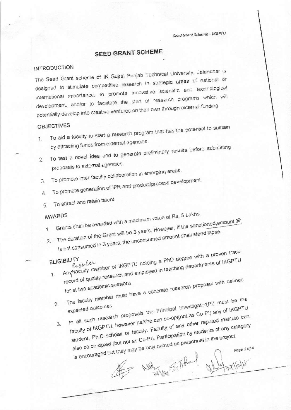Seed Grant Scheme - IKGPTU

## **SEED GRANT SCHEME**

#### **INTRODUCTION**

The Seed Grant scheme of IK Gujral Punjab Technical University, Jalandhar is designed to stimulate competitive research in strategic areas of national or international importance, to promote innovative scientific and technological development, and/or to facilitate the start of research programs which will potentially develop into creative ventures on their own through external funding.

#### **OBJECTIVES**

- 1. To aid a faculty to start a research program that has the potential to sustain by attracting funds from external agencies.
- 2. To test a novel idea and to generate preliminary results before submitting
	- proposals to external agencies.
- 3. To promote inter-faculty collaboration in emerging areas.
- 4. To promote generation of IPR and product/process development.
- 
- To attract and retain talent 5.

#### AWARDS

- Grants shall be awarded with a maximum value of Rs. 5 Lakhs. 2. The duration of the Grant will be 3 years. However, if the sanctioned amount F
- 
- is not consumed in 3 years, the unconsumed amount shall stand lapse.
- Anytiaculty member of IKGPTU holding a PhD degree with a proven track **ELIGIBILITY** record of quality research and employed in teaching departments of IKGPTU
	- The faculty member must have a concrete research proposal with defined
		- In all such research proposals the Principal Investigator(PI) must be the  $2.$ expected outcomes
		- faculty of IKGPTU, however he/she can co-optinot as Co-PI) any of IKGPTU student, Ph.D scholar or faculty. Faculty of any other reputed institute can also be co-opted (but not as Co-PI). Participation by students of any category  $\mathbf{3}$ . is encouraged but they may be only named as personnel in the project. age 1 of 4

NAS Tifiled What is till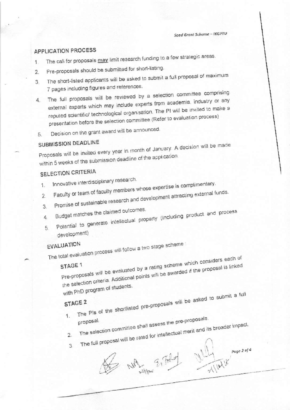Seed Grant Scheme - IKGPTU

## **APPLICATION PROCESS**

- The call for proposals may limit research funding to a few strategic areas.  $1$
- Pre-proposals should be submitted for short-listing.  $2.$
- The short-listed applicants will be asked to submit a full proposal of maximum  $3<sup>1</sup>$ 7 pages including figures and references.
- 4. The full proposals will be reviewed by a selection committee comprising external experts which may include experts from academia, industry or any reputed scientific/ technological organisation. The PI will be invited to make a presentation before the selection committee (Refer to evaluation process)
- Decision on the grant award will be announced. 5.

## SUBMISSION DEADLINE

Proposals will be invited every year in month of January. A decision will be made within 5 weeks of the submission deadline of the application.

## SELECTION CRITERIA

- Innovative interdisciplinary research.  $1$
- Faculty or team of faculty members whose expertise is complimentary. 3. Promise of sustainable research and development attracting external funds.
- 
- 
- Budget matches the claimed outcomes. Potential to generate intellectual property (Including product and process  $4<sup>1</sup>$
- $5$ development)

## **EVALUATION**

The total evaluation process will follow a two stage scheme:

Pre-proposals will be evaluated by a rating scheme which considers each of the selection criteria. Additional points will be awarded if the proposal is linked STAGE 1 with PhD program of students.

## STAGE 2

1. The PIs of the shortlisted pre-proposals will be asked to submit a full

- 
- 2. The selection committee shall assess the pre-proposals. The full proposal will be rated for intellectual merit and its broader impact.
- 
- Wayne Either Willy page 2014 3.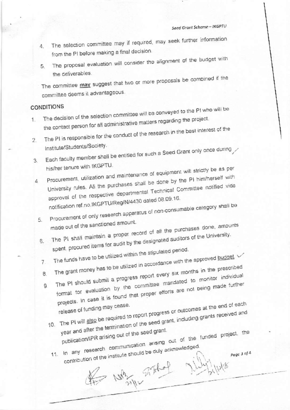- 4. The selection committee may if required, may seek further information from the PI before making a final decision.
- The proposal evaluation will consider the alignment of the budget with 5. the deliverables.

The committee may suggest that two or more proposals be combined if the committee deems it advantageous.

#### **CONDITIONS**

- The decision of the selection committee will be conveyed to the PI who will be the contact person for all administrative matters regarding the project.  $1<sup>1</sup>$
- The PI is responsible for the conduct of the research in the best interest of the  $2.$ Institute/Students/Society.
- Each faculty member shall be entitled for such a Seed Grant only once during  $\overline{3}$ . his/her tenure with IKGPTU.
- Procurement, utilization and maintenance of equipment will strictly be as per University rules. All the purchases shall be done by the PI him/herself with  $\overline{4}$ . approval of the respective departmental Technical Committee notified vide

notification ref.no.IKGPTU/Reg/N/4430 dated 08.09.16. Procurement of only research apparatus of non-consumable category shall be

- 5. made out of the sanctioned amount. The PI shall maintain a proper record of all the purchases done, amounts
- spent, procured items for audit by the designated auditors of the University.  $6.$
- The funds have to be utilized within the stipulated period.  $7<sup>1</sup>$
- The grant money has to be utilized in accordance with the approved budget 8.
- The PI should submit a progress report every six months in the prescribed format for evaluation by the committee mandated to monitor individual projects. In case it is found that proper efforts are not being made further  $\mathsf{G}$ 10. The PI will also be required to report progress or outcomes at the end of each
	- year and after the termination of the seed grant, including grants received and publication/IPR arising out of the seed grant. 11. In any research communication arising out of the funded project, the

contribution of the institute should be duly acknowledged. He was stated rilly 148

Page 3 of 4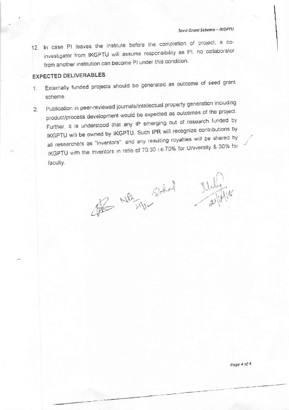12. In case PI leaves the institute before the completion of project, a coinvestigator from IKGPTU will assume responsibility as PI. no collaborator from another institution can become PI under this condition.

## **EXPECTED DELIVERABLES**

- Externally funded projects should be generated as outcome of seed grant 1. scheme.
- Publication in peer-reviewed journals/intellectual property generation including  $\overline{2}$ . product/process development would be expected as outcomes of the project. Further, it is understood that any IP emerging out of research funded by IKGPTU will be owned by IKGPTU. Such IPR will recognize contributions by all researchers as "inventors", and any resulting royalties will be shared by IKGPTU with the inventors in ratio of 70.30 i.e.70% for University & 30% for faculty.

The MB still liked studying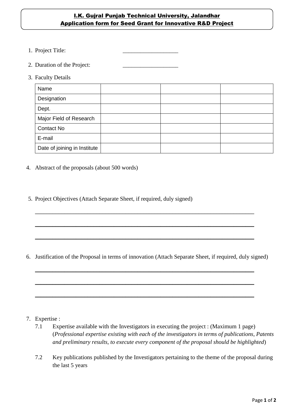#### **I.K. Gujral Punjab Technical University, Jalandhar** Application form for Seed Grant for Innovative R&D Project

- 1. Project Title:
- 2. Duration of the Project:
- 3. Faculty Details

| Name                         |  |  |
|------------------------------|--|--|
| Designation                  |  |  |
| Dept.                        |  |  |
| Major Field of Research      |  |  |
| <b>Contact No</b>            |  |  |
| E-mail                       |  |  |
| Date of joining in Institute |  |  |

- 4. Abstract of the proposals (about 500 words)
- 5. Project Objectives (Attach Separate Sheet, if required, duly signed)

6. Justification of the Proposal in terms of innovation (Attach Separate Sheet, if required, duly signed)

 $\_$  , and the set of the set of the set of the set of the set of the set of the set of the set of the set of the set of the set of the set of the set of the set of the set of the set of the set of the set of the set of th

\_\_\_\_\_\_\_\_\_\_\_\_\_\_\_\_\_\_\_\_\_\_\_\_\_\_\_\_\_\_\_\_\_\_\_\_\_\_\_\_\_\_\_\_\_\_\_\_\_\_\_\_\_\_\_\_\_\_\_\_\_\_\_\_\_\_\_\_\_\_\_\_\_\_\_

 $\_$  , and the set of the set of the set of the set of the set of the set of the set of the set of the set of the set of the set of the set of the set of the set of the set of the set of the set of the set of the set of th

\_\_\_\_\_\_\_\_\_\_\_\_\_\_\_\_\_\_\_\_\_\_\_\_\_\_\_\_\_\_\_\_\_\_\_\_\_\_\_\_\_\_\_\_\_\_\_\_\_\_\_\_\_\_\_\_\_\_\_\_\_\_\_\_\_\_\_\_\_\_\_\_\_\_\_

\_\_\_\_\_\_\_\_\_\_\_\_\_\_\_\_\_\_\_\_\_\_\_\_\_\_\_\_\_\_\_\_\_\_\_\_\_\_\_\_\_\_\_\_\_\_\_\_\_\_\_\_\_\_\_\_\_\_\_\_\_\_\_\_\_\_\_\_\_\_\_\_\_\_\_

\_\_\_\_\_\_\_\_\_\_\_\_\_\_\_\_\_\_\_\_\_\_\_\_\_\_\_\_\_\_\_\_\_\_\_\_\_\_\_\_\_\_\_\_\_\_\_\_\_\_\_\_\_\_\_\_\_\_\_\_\_\_\_\_\_\_\_\_\_\_\_\_\_\_\_

- 7. Expertise :
	- 7.1 Expertise available with the Investigators in executing the project : (Maximum 1 page) (*Professional expertise existing with each of the investigators in terms of publications, Patents and preliminary results, to execute every component of the proposal should be highlighted*)
	- 7.2 Key publications published by the Investigators pertaining to the theme of the proposal during the last 5 years